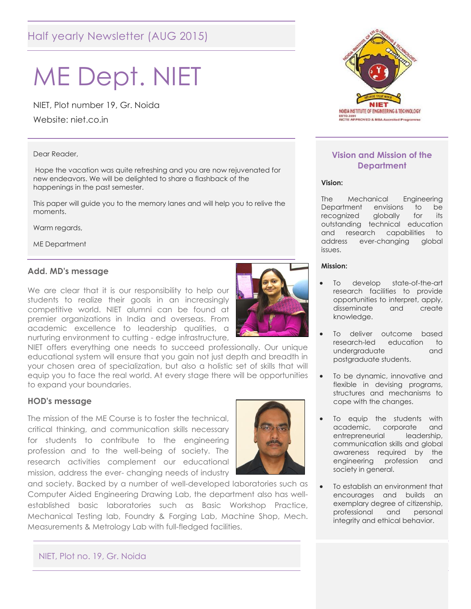# Half yearly Newsletter (AUG 2015)

# ME Dept. NIET

NIET, Plot number 19, Gr. Noida

Website: niet.co.in

#### Dear Reader,

Hope the vacation was quite refreshing and you are now rejuvenated for new endeavors. We will be delighted to share a flashback of the happenings in the past semester.

This paper will guide you to the memory lanes and will help you to relive the moments.

Warm regards,

ME Department

#### **Add. MD's message**

We are clear that it is our responsibility to help our students to realize their goals in an increasingly competitive world. NIET alumni can be found at premier organizations in India and overseas. From academic excellence to leadership qualities, a nurturing environment to cutting - edge infrastructure,



NIET offers everything one needs to succeed professionally. Our unique educational system will ensure that you gain not just depth and breadth in your chosen area of specialization, but also a holistic set of skills that will equip you to face the real world. At every stage there will be opportunities to expand your boundaries.

#### **HOD's message**

The mission of the ME Course is to foster the technical, critical thinking, and communication skills necessary for students to contribute to the engineering profession and to the well-being of society. The research activities complement our educational mission, address the ever- changing needs of industry

and society. Backed by a number of well-developed laboratories such as Computer Aided Engineering Drawing Lab, the department also has wellestablished basic laboratories such as Basic Workshop Practice, Mechanical Testing lab, Foundry & Forging Lab, Machine Shop, Mech. Measurements & Metrology Lab with full-fledged facilities.



#### **Vision and Mission of the Department**

#### **Vision:**

The Mechanical Engineering Department envisions to be recognized globally for its outstanding technical education and research capabilities to address ever-changing global issues.

#### **Mission:**

- To develop state-of-the-art research facilities to provide opportunities to interpret, apply, disseminate and create knowledge.
- To deliver outcome based research-led education to undergraduate and postgraduate students.
- To be dynamic, innovative and flexible in devising programs, structures and mechanisms to cope with the changes.
- To equip the students with academic, corporate and entrepreneurial leadership, communication skills and global awareness required by the engineering profession and society in general.
- To establish an environment that encourages and builds an exemplary degree of citizenship, professional and personal integrity and ethical behavior.

#### NIET, Plot no. 19, Gr. Noida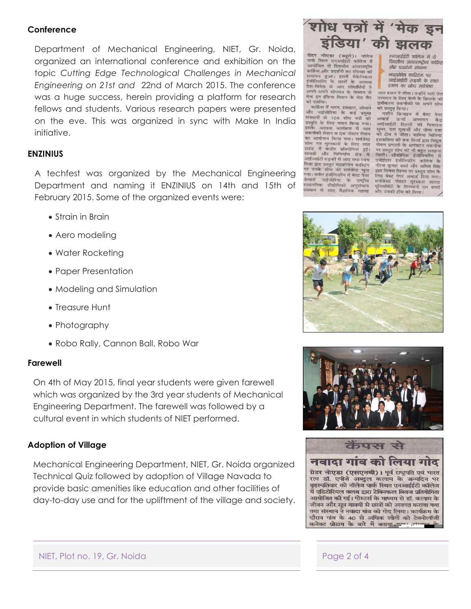#### **Conference**

Department of Mechanical Engineering, NIET, Gr. Noida, organized an international conference and exhibition on the topic *Cutting Edge Technological Challenges in Mechanical Engineering on 21st and* 22nd of March 2015. The conference was a huge success, herein providing a platform for research fellows and students. Various research papers were presented on the eve. This was organized in sync with Make In India initiative.

#### **ENZINIUS**

A techfest was organized by the Mechanical Engineering Department and naming it ENZINIUS on 14th and 15th of February 2015. Some of the organized events were:

- Strain in Brain
- Aero modeling
- Water Rocketing
- Paper Presentation
- Modeling and Simulation
- Treasure Hunt
- Photography
- Robo Rally, Cannon Ball, Robo War

#### **Farewell**

On 4th of May 2015, final year students were given farewell which was organized by the 3rd year students of Mechanical Engineering Department. The farewell was followed by a cultural event in which students of NIET performed.

### **Adoption of Village**

Mechanical Engineering Department, NIET, Gr. Noida organized Technical Quiz followed by adoption of Village Navada to provide basic amenities like education and other facilities of day-to-day use and for the upliftment of the village and society.



**ग्रेटर नोएडा (ब्यरो)** ग्रंटर नाएडा (ब्यूरा)। नालज<br>पार्क स्थित एनआईईटी कॉलेज में<br>आयोजित दो दिवसीय अंतरराष्ट्रीय कफ्रिंस और प्रदर्शनी का रविवार को समापन हुआ। इसमें मेकेनिकल<br>इंजीनियरिंग के छात्रों के अलावा देश-विदेश से आए शोधार्थियों ने<br>अपने-अपने शोधपत्र के माध्यम से मेक इन इंडिया मिशन के रोड मैप को दर्शाया।

च्या दशाया।<br>- कांफ्रेंस में भारत, इस्राइल, ओमान<br>और नाईजीरिया के कई प्रमुख जार भाइणारथा के कई प्रमुख<br>प्रस्थानों से 108 शोध पत्रों को<br>प्रस्तुति के लिए चयन किया गया।<br>इसके अलावा कार्यक्रम में सात<br>तकनीकी सेशन व एक पोस्टर सेशन .<br>का आयोजन किया गया। सर्वश्रेष्टर र भाषा गया। सम्बद्ध<br>शोध पत्र पुरस्कारों के लिए सात<br>राउंड में कठोर प्रतियोगिता हुई।<br>सामग्री और विनिर्माण क्षेत्र में आईआईटी रुड़की से आए राधा रमण मिश्रा द्वारा प्रस्तुत माइक्रोवेव कास्टिंग पर उनके शोध को सर्वश्रेष्ठ चुना या। थर्मल इंजीनियरिंग में बेस्ट पेपर गया। यमल इंजानियारेग में बेस्ट पेपर<br>अंबार्ड - नाईजीरिया - के राष्ट्रीय<br>रासायनिक - प्रौद्योगिकी - अनुसंधान<br>गणान - ने संस्थान से आए वैज्ञानिक याह्या

एनआईईटी कॉलेज में दो दिवसीय अंतरराष्ट्रीय कांफ्रेंस और प्रदर्शनी संपन्न

माइक्रोवेव कास्टिंग पर आईआईटी रुड़की के राधा रमण का शोध सर्वश्रेष्ठ

अल हसन ने जीता। उन्होंने भारी तेल उत्पादन के लिए केले के छिलके की द्रवीकरण तकनीकी पर अपने शोध को प्रस्तुत किया।

मशीन डिजाइन में बेस्ट पेपर ्नरान ाडजाइन म बस्ट<br>अवार्ड ऊर्जा अध्ययन<br>आईआईटी दिल्ली की धि<br>सुथर, एस मखर्जी और बीण की भिवराज सुथर, एस मुखर्जी और वीणा दत्ता<br>की टीम ने जीता। जामिया मिलिया इस्लामिया की वफ मिर्जा द्वारा विद्युत पोषण प्रणाली के अपघटन तकनी गर प्रस्तुत शोध को भी बहुत सराहना<br>मिली। औद्योगिक इंजीनियरिंग में<br>एबीईएस इंजीनियरिंग कॉलेज के नीरज कुमार शर्मा और अमित सिंह द्वारा सिक्स सिग्मा पर प्रस्तुत शोध के केण लेखर लिप्पा न अस्तुत शाय क<br>सर्वश्रेस्ठ पोस्टर पुरस्कार शारदा<br>यूनिवर्सिटी के तिज्जानी एम शफी<br>और उनकी टीम को मिला।





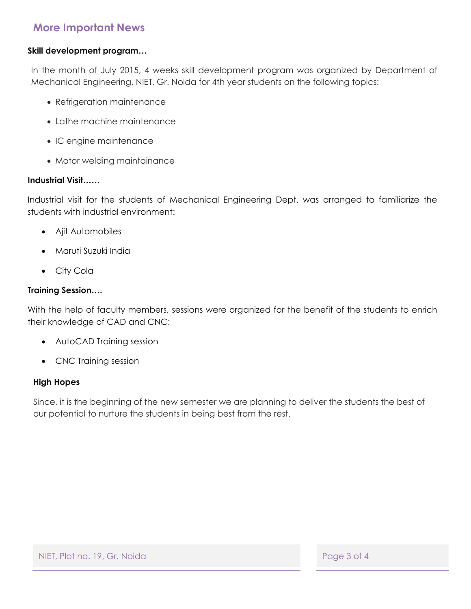## **More Important News**

### **Skill development program…**

In the month of July 2015, 4 weeks skill development program was organized by Department of Mechanical Engineering, NIET, Gr. Noida for 4th year students on the following topics:

- Refrigeration maintenance
- Lathe machine maintenance
- IC engine maintenance
- Motor welding maintainance

#### **Industrial Visit……**

Industrial visit for the students of Mechanical Engineering Dept. was arranged to familiarize the students with industrial environment:

- Ajit Automobiles
- Maruti Suzuki India
- City Cola

#### **Training Session….**

With the help of faculty members, sessions were organized for the benefit of the students to enrich their knowledge of CAD and CNC:

- AutoCAD Training session
- CNC Training session

#### **High Hopes**

Since, it is the beginning of the new semester we are planning to deliver the students the best of our potential to nurture the students in being best from the rest.